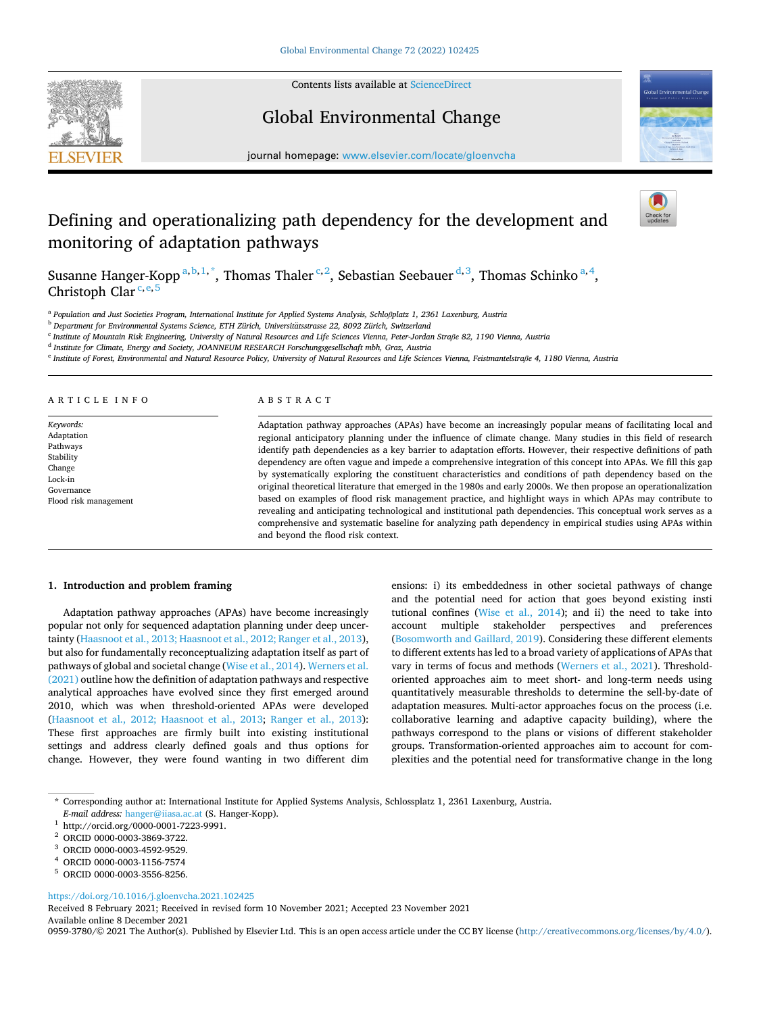

Contents lists available at [ScienceDirect](www.sciencedirect.com/science/journal/09593780)

# Global Environmental Change



journal homepage: [www.elsevier.com/locate/gloenvcha](https://www.elsevier.com/locate/gloenvcha) 

# Defining and operationalizing path dependency for the development and monitoring of adaptation pathways



Susanne Hanger-Kopp<sup>a, b, 1, \*</sup>, Thomas Thaler<sup>c, 2</sup>, Sebastian Seebauer<sup>d, 3</sup>, Thomas Schinko<sup>a, 4</sup>, Christoph Clar $c,e,5$ 

<sup>a</sup> *Population and Just Societies Program, International Institute for Applied Systems Analysis, Schloßplatz 1, 2361 Laxenburg, Austria* 

**b** Department for Environmental Systems Science, ETH Zürich, Universitätsstrasse 22, 8092 Zürich, Switzerland

<sup>c</sup> *Institute of Mountain Risk Engineering, University of Natural Resources and Life Sciences Vienna, Peter-Jordan Straße 82, 1190 Vienna, Austria* 

<sup>d</sup> *Institute for Climate, Energy and Society, JOANNEUM RESEARCH Forschungsgesellschaft mbh, Graz, Austria* 

<sup>e</sup> *Institute of Forest, Environmental and Natural Resource Policy, University of Natural Resources and Life Sciences Vienna, Feistmantelstraße 4, 1180 Vienna, Austria* 

# ARTICLE INFO

*Keywords:*  Adaptation Pathways Stability Change Lock-in Governance Flood risk management

# ABSTRACT

Adaptation pathway approaches (APAs) have become an increasingly popular means of facilitating local and regional anticipatory planning under the influence of climate change. Many studies in this field of research identify path dependencies as a key barrier to adaptation efforts. However, their respective definitions of path dependency are often vague and impede a comprehensive integration of this concept into APAs. We fill this gap by systematically exploring the constituent characteristics and conditions of path dependency based on the original theoretical literature that emerged in the 1980s and early 2000s. We then propose an operationalization based on examples of flood risk management practice, and highlight ways in which APAs may contribute to revealing and anticipating technological and institutional path dependencies. This conceptual work serves as a comprehensive and systematic baseline for analyzing path dependency in empirical studies using APAs within and beyond the flood risk context.

# **1. Introduction and problem framing**

Adaptation pathway approaches (APAs) have become increasingly popular not only for sequenced adaptation planning under deep uncertainty ([Haasnoot et al., 2013; Haasnoot et al., 2012; Ranger et al., 2013](#page-9-0)), but also for fundamentally reconceptualizing adaptation itself as part of pathways of global and societal change [\(Wise et al., 2014](#page-10-0)). [Werners et al.](#page-10-0)  [\(2021\)](#page-10-0) outline how the definition of adaptation pathways and respective analytical approaches have evolved since they first emerged around 2010, which was when threshold-oriented APAs were developed ([Haasnoot et al., 2012; Haasnoot et al., 2013;](#page-9-0) [Ranger et al., 2013](#page-10-0)): These first approaches are firmly built into existing institutional settings and address clearly defined goals and thus options for change. However, they were found wanting in two different dim ensions: i) its embeddedness in other societal pathways of change and the potential need for action that goes beyond existing insti tutional confines ([Wise et al., 2014](#page-10-0)); and ii) the need to take into account multiple stakeholder perspectives and preferences ([Bosomworth and Gaillard, 2019](#page-9-0)). Considering these different elements to different extents has led to a broad variety of applications of APAs that vary in terms of focus and methods [\(Werners et al., 2021\)](#page-10-0). Thresholdoriented approaches aim to meet short- and long-term needs using quantitatively measurable thresholds to determine the sell-by-date of adaptation measures. Multi-actor approaches focus on the process (i.e. collaborative learning and adaptive capacity building), where the pathways correspond to the plans or visions of different stakeholder groups. Transformation-oriented approaches aim to account for complexities and the potential need for transformative change in the long

\* Corresponding author at: International Institute for Applied Systems Analysis, Schlossplatz 1, 2361 Laxenburg, Austria.

# <https://doi.org/10.1016/j.gloenvcha.2021.102425>

Available online 8 December 2021 Received 8 February 2021; Received in revised form 10 November 2021; Accepted 23 November 2021

0959-3780/© 2021 The Author(s). Published by Elsevier Ltd. This is an open access article under the CC BY license [\(http://creativecommons.org/licenses/by/4.0/\)](http://creativecommons.org/licenses/by/4.0/).

 $E\text{-}mail address: [hanger@iiasa.ac.at](mailto:hanger@iiasa.ac.at) (S. Hanger-Kopp).  
\n ${}^{1}$  http://orcid.org/0000-0001-7223-9991.  
\n ${}^{2}$  ORCID 0000-0003-3869-3722.  
\n ${}^{3}$  ORCID 0000-0003-4592-9529.  
\n ${}^{4}$  ORCID 0000-0003-1156-7574  
\n ${}^{5}$  ORCID 0000 E\text{-}mail address: [hanger@iiasa.ac.at](mailto:hanger@iiasa.ac.at) (S. Hanger-Kopp).  
\n ${}^{1}$  http://orcid.org/0000-0001-7223-9991.  
\n ${}^{2}$  ORCID 0000-0003-3869-3722.  
\n ${}^{3}$  ORCID 0000-0003-4592-9529.  
\n ${}^{4}$  ORCID 0000-0003-1156-7574  
\n ${}^{5}$  ORCID 0000 E\text{-}mail address: [hanger@iiasa.ac.at](mailto:hanger@iiasa.ac.at) (S. Hanger-Kopp).  
\n ${}^{1}$  http://orcid.org/0000-0001-7223-9991.  
\n ${}^{2}$  ORCID 0000-0003-3869-3722.  
\n ${}^{3}$  ORCID 0000-0003-4592-9529.  
\n ${}^{4}$  ORCID 0000-0003-1156-7574  
\n ${}^{5}$  ORCID 0000-$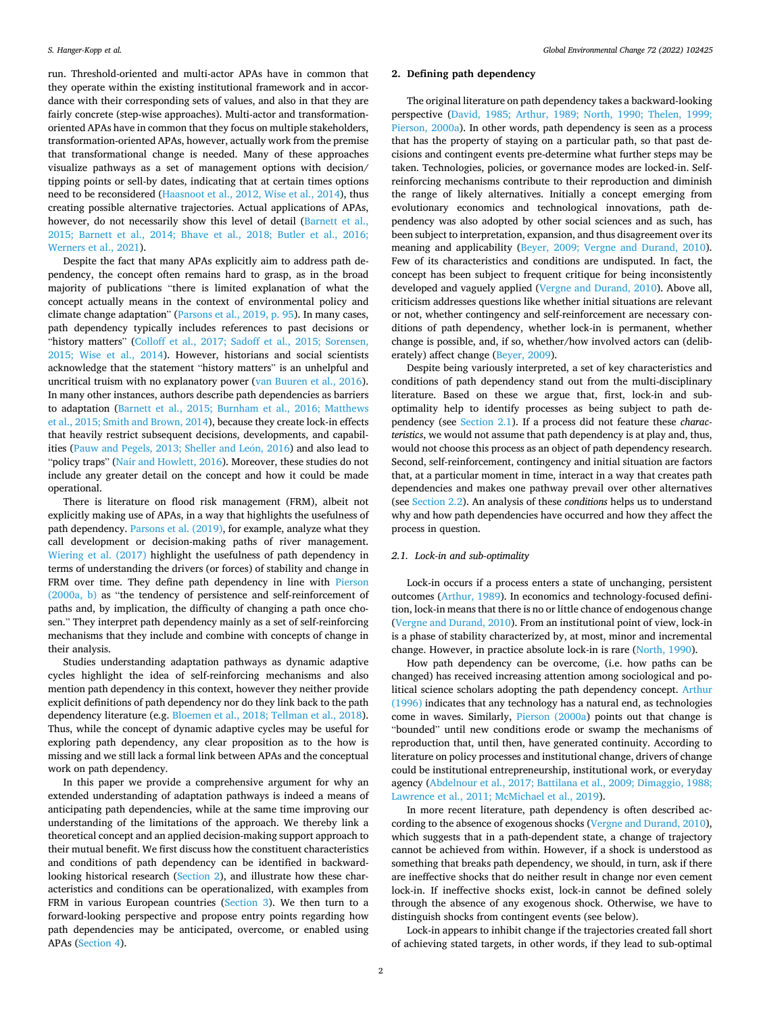run. Threshold-oriented and multi-actor APAs have in common that they operate within the existing institutional framework and in accordance with their corresponding sets of values, and also in that they are fairly concrete (step-wise approaches). Multi-actor and transformationoriented APAs have in common that they focus on multiple stakeholders, transformation-oriented APAs, however, actually work from the premise that transformational change is needed. Many of these approaches visualize pathways as a set of management options with decision/ tipping points or sell-by dates, indicating that at certain times options need to be reconsidered [\(Haasnoot et al., 2012, Wise et al., 2014](#page-9-0)), thus creating possible alternative trajectories. Actual applications of APAs, however, do not necessarily show this level of detail [\(Barnett et al.,](#page-9-0)  [2015; Barnett et al., 2014; Bhave et al., 2018; Butler et al., 2016;](#page-9-0)  [Werners et al., 2021](#page-9-0)).

Despite the fact that many APAs explicitly aim to address path dependency, the concept often remains hard to grasp, as in the broad majority of publications "there is limited explanation of what the concept actually means in the context of environmental policy and climate change adaptation" [\(Parsons et al., 2019, p. 95](#page-10-0)). In many cases, path dependency typically includes references to past decisions or "history matters" ([Colloff et al., 2017; Sadoff et al., 2015; Sorensen,](#page-9-0)  [2015; Wise et al., 2014\)](#page-9-0). However, historians and social scientists acknowledge that the statement "history matters" is an unhelpful and uncritical truism with no explanatory power [\(van Buuren et al., 2016](#page-10-0)). In many other instances, authors describe path dependencies as barriers to adaptation ([Barnett et al., 2015; Burnham et al., 2016; Matthews](#page-9-0)  [et al., 2015; Smith and Brown, 2014](#page-9-0)), because they create lock-in effects that heavily restrict subsequent decisions, developments, and capabilities (Pauw and Pegels, 2013; Sheller and León, 2016) and also lead to "policy traps" ([Nair and Howlett, 2016\)](#page-10-0). Moreover, these studies do not include any greater detail on the concept and how it could be made operational.

There is literature on flood risk management (FRM), albeit not explicitly making use of APAs, in a way that highlights the usefulness of path dependency. [Parsons et al. \(2019\)](#page-10-0), for example, analyze what they call development or decision-making paths of river management. [Wiering et al. \(2017\)](#page-10-0) highlight the usefulness of path dependency in terms of understanding the drivers (or forces) of stability and change in FRM over time. They define path dependency in line with [Pierson](#page-10-0)  [\(2000a, b\)](#page-10-0) as "the tendency of persistence and self-reinforcement of paths and, by implication, the difficulty of changing a path once chosen." They interpret path dependency mainly as a set of self-reinforcing mechanisms that they include and combine with concepts of change in their analysis.

Studies understanding adaptation pathways as dynamic adaptive cycles highlight the idea of self-reinforcing mechanisms and also mention path dependency in this context, however they neither provide explicit definitions of path dependency nor do they link back to the path dependency literature (e.g. [Bloemen et al., 2018; Tellman et al., 2018](#page-9-0)). Thus, while the concept of dynamic adaptive cycles may be useful for exploring path dependency, any clear proposition as to the how is missing and we still lack a formal link between APAs and the conceptual work on path dependency.

In this paper we provide a comprehensive argument for why an extended understanding of adaptation pathways is indeed a means of anticipating path dependencies, while at the same time improving our understanding of the limitations of the approach. We thereby link a theoretical concept and an applied decision-making support approach to their mutual benefit. We first discuss how the constituent characteristics and conditions of path dependency can be identified in backwardlooking historical research (Section 2), and illustrate how these characteristics and conditions can be operationalized, with examples from FRM in various European countries [\(Section 3](#page-3-0)). We then turn to a forward-looking perspective and propose entry points regarding how path dependencies may be anticipated, overcome, or enabled using APAs ([Section 4](#page-4-0)).

# **2. Defining path dependency**

The original literature on path dependency takes a backward-looking perspective [\(David, 1985; Arthur, 1989; North, 1990; Thelen, 1999;](#page-9-0)  [Pierson, 2000a\)](#page-9-0). In other words, path dependency is seen as a process that has the property of staying on a particular path, so that past decisions and contingent events pre-determine what further steps may be taken. Technologies, policies, or governance modes are locked-in. Selfreinforcing mechanisms contribute to their reproduction and diminish the range of likely alternatives. Initially a concept emerging from evolutionary economics and technological innovations, path dependency was also adopted by other social sciences and as such, has been subject to interpretation, expansion, and thus disagreement over its meaning and applicability ([Beyer, 2009; Vergne and Durand, 2010](#page-9-0)). Few of its characteristics and conditions are undisputed. In fact, the concept has been subject to frequent critique for being inconsistently developed and vaguely applied [\(Vergne and Durand, 2010](#page-10-0)). Above all, criticism addresses questions like whether initial situations are relevant or not, whether contingency and self-reinforcement are necessary conditions of path dependency, whether lock-in is permanent, whether change is possible, and, if so, whether/how involved actors can (deliberately) affect change ([Beyer, 2009](#page-9-0)).

Despite being variously interpreted, a set of key characteristics and conditions of path dependency stand out from the multi-disciplinary literature. Based on these we argue that, first, lock-in and suboptimality help to identify processes as being subject to path dependency (see Section 2.1). If a process did not feature these *characteristics*, we would not assume that path dependency is at play and, thus, would not choose this process as an object of path dependency research. Second, self-reinforcement, contingency and initial situation are factors that, at a particular moment in time, interact in a way that creates path dependencies and makes one pathway prevail over other alternatives (see [Section 2.2](#page-2-0)). An analysis of these *conditions* helps us to understand why and how path dependencies have occurred and how they affect the process in question.

# *2.1. Lock-in and sub-optimality*

Lock-in occurs if a process enters a state of unchanging, persistent outcomes ([Arthur, 1989\)](#page-9-0). In economics and technology-focused definition, lock-in means that there is no or little chance of endogenous change ([Vergne and Durand, 2010\)](#page-10-0). From an institutional point of view, lock-in is a phase of stability characterized by, at most, minor and incremental change. However, in practice absolute lock-in is rare [\(North, 1990](#page-10-0)).

How path dependency can be overcome, (i.e. how paths can be changed) has received increasing attention among sociological and political science scholars adopting the path dependency concept. [Arthur](#page-9-0)  [\(1996\)](#page-9-0) indicates that any technology has a natural end, as technologies come in waves. Similarly, [Pierson \(2000a](#page-10-0)) points out that change is "bounded" until new conditions erode or swamp the mechanisms of reproduction that, until then, have generated continuity. According to literature on policy processes and institutional change, drivers of change could be institutional entrepreneurship, institutional work, or everyday agency ([Abdelnour et al., 2017; Battilana et al., 2009; Dimaggio, 1988;](#page-9-0)  [Lawrence et al., 2011; McMichael et al., 2019\)](#page-9-0).

In more recent literature, path dependency is often described according to the absence of exogenous shocks [\(Vergne and Durand, 2010](#page-10-0)), which suggests that in a path-dependent state, a change of trajectory cannot be achieved from within. However, if a shock is understood as something that breaks path dependency, we should, in turn, ask if there are ineffective shocks that do neither result in change nor even cement lock-in. If ineffective shocks exist, lock-in cannot be defined solely through the absence of any exogenous shock. Otherwise, we have to distinguish shocks from contingent events (see below).

Lock-in appears to inhibit change if the trajectories created fall short of achieving stated targets, in other words, if they lead to sub-optimal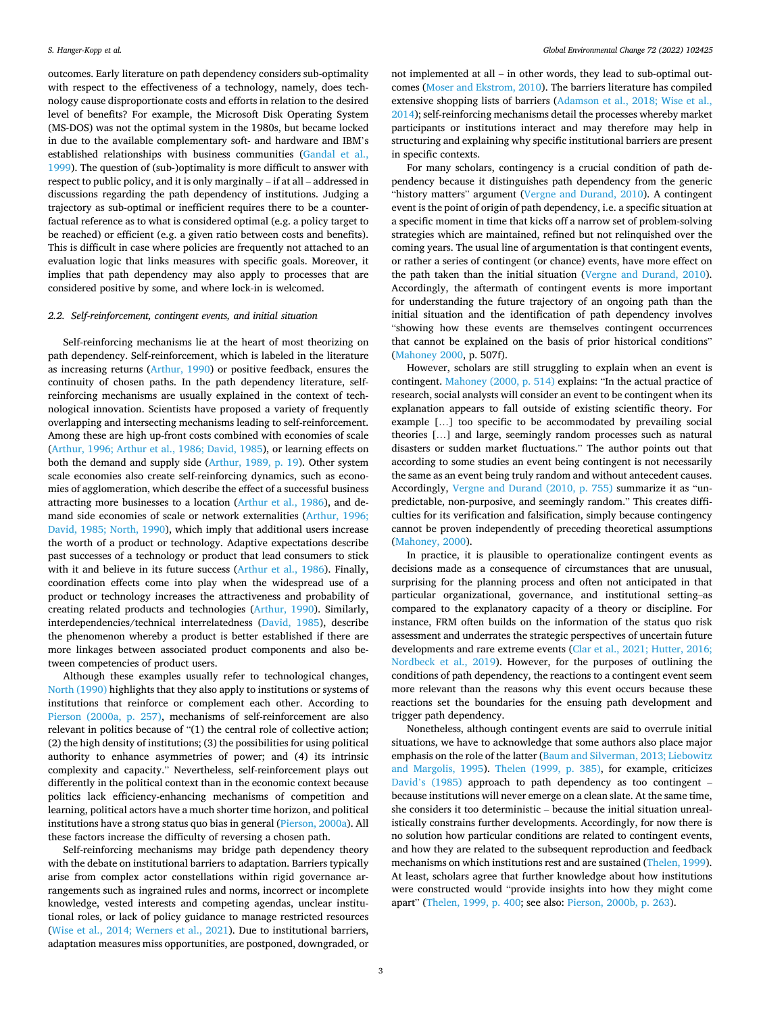<span id="page-2-0"></span>outcomes. Early literature on path dependency considers sub-optimality with respect to the effectiveness of a technology, namely, does technology cause disproportionate costs and efforts in relation to the desired level of benefits? For example, the Microsoft Disk Operating System (MS-DOS) was not the optimal system in the 1980s, but became locked in due to the available complementary soft- and hardware and IBM's established relationships with business communities [\(Gandal et al.,](#page-9-0)  [1999\)](#page-9-0). The question of (sub-)optimality is more difficult to answer with respect to public policy, and it is only marginally – if at all – addressed in discussions regarding the path dependency of institutions. Judging a trajectory as sub-optimal or inefficient requires there to be a counterfactual reference as to what is considered optimal (e.g. a policy target to be reached) or efficient (e.g. a given ratio between costs and benefits). This is difficult in case where policies are frequently not attached to an evaluation logic that links measures with specific goals. Moreover, it implies that path dependency may also apply to processes that are considered positive by some, and where lock-in is welcomed.

# *2.2. Self-reinforcement, contingent events, and initial situation*

Self-reinforcing mechanisms lie at the heart of most theorizing on path dependency. Self-reinforcement, which is labeled in the literature as increasing returns ([Arthur, 1990\)](#page-9-0) or positive feedback, ensures the continuity of chosen paths. In the path dependency literature, selfreinforcing mechanisms are usually explained in the context of technological innovation. Scientists have proposed a variety of frequently overlapping and intersecting mechanisms leading to self-reinforcement. Among these are high up-front costs combined with economies of scale ([Arthur, 1996; Arthur et al., 1986; David, 1985\)](#page-9-0), or learning effects on both the demand and supply side ([Arthur, 1989, p. 19\)](#page-9-0). Other system scale economies also create self-reinforcing dynamics, such as economies of agglomeration, which describe the effect of a successful business attracting more businesses to a location [\(Arthur et al., 1986\)](#page-9-0), and demand side economies of scale or network externalities ([Arthur, 1996;](#page-9-0)  [David, 1985; North, 1990](#page-9-0)), which imply that additional users increase the worth of a product or technology. Adaptive expectations describe past successes of a technology or product that lead consumers to stick with it and believe in its future success ([Arthur et al., 1986\)](#page-9-0). Finally, coordination effects come into play when the widespread use of a product or technology increases the attractiveness and probability of creating related products and technologies ([Arthur, 1990\)](#page-9-0). Similarly, interdependencies/technical interrelatedness ([David, 1985](#page-9-0)), describe the phenomenon whereby a product is better established if there are more linkages between associated product components and also between competencies of product users.

Although these examples usually refer to technological changes, [North \(1990\)](#page-10-0) highlights that they also apply to institutions or systems of institutions that reinforce or complement each other. According to [Pierson \(2000a, p. 257\),](#page-10-0) mechanisms of self-reinforcement are also relevant in politics because of "(1) the central role of collective action; (2) the high density of institutions; (3) the possibilities for using political authority to enhance asymmetries of power; and (4) its intrinsic complexity and capacity." Nevertheless, self-reinforcement plays out differently in the political context than in the economic context because politics lack efficiency-enhancing mechanisms of competition and learning, political actors have a much shorter time horizon, and political institutions have a strong status quo bias in general ([Pierson, 2000a\)](#page-10-0). All these factors increase the difficulty of reversing a chosen path.

Self-reinforcing mechanisms may bridge path dependency theory with the debate on institutional barriers to adaptation. Barriers typically arise from complex actor constellations within rigid governance arrangements such as ingrained rules and norms, incorrect or incomplete knowledge, vested interests and competing agendas, unclear institutional roles, or lack of policy guidance to manage restricted resources ([Wise et al., 2014; Werners et al., 2021](#page-10-0)). Due to institutional barriers, adaptation measures miss opportunities, are postponed, downgraded, or not implemented at all – in other words, they lead to sub-optimal outcomes ([Moser and Ekstrom, 2010\)](#page-10-0). The barriers literature has compiled extensive shopping lists of barriers [\(Adamson et al., 2018; Wise et al.,](#page-9-0)  [2014\)](#page-9-0); self-reinforcing mechanisms detail the processes whereby market participants or institutions interact and may therefore may help in structuring and explaining why specific institutional barriers are present in specific contexts.

For many scholars, contingency is a crucial condition of path dependency because it distinguishes path dependency from the generic "history matters" argument [\(Vergne and Durand, 2010\)](#page-10-0). A contingent event is the point of origin of path dependency, i.e. a specific situation at a specific moment in time that kicks off a narrow set of problem-solving strategies which are maintained, refined but not relinquished over the coming years. The usual line of argumentation is that contingent events, or rather a series of contingent (or chance) events, have more effect on the path taken than the initial situation [\(Vergne and Durand, 2010](#page-10-0)). Accordingly, the aftermath of contingent events is more important for understanding the future trajectory of an ongoing path than the initial situation and the identification of path dependency involves "showing how these events are themselves contingent occurrences that cannot be explained on the basis of prior historical conditions" ([Mahoney 2000,](#page-10-0) p. 507f).

However, scholars are still struggling to explain when an event is contingent. [Mahoney \(2000, p. 514\)](#page-10-0) explains: "In the actual practice of research, social analysts will consider an event to be contingent when its explanation appears to fall outside of existing scientific theory. For example […] too specific to be accommodated by prevailing social theories […] and large, seemingly random processes such as natural disasters or sudden market fluctuations." The author points out that according to some studies an event being contingent is not necessarily the same as an event being truly random and without antecedent causes. Accordingly, [Vergne and Durand \(2010, p. 755\)](#page-10-0) summarize it as "unpredictable, non-purposive, and seemingly random." This creates difficulties for its verification and falsification, simply because contingency cannot be proven independently of preceding theoretical assumptions ([Mahoney, 2000\)](#page-10-0).

In practice, it is plausible to operationalize contingent events as decisions made as a consequence of circumstances that are unusual, surprising for the planning process and often not anticipated in that particular organizational, governance, and institutional setting–as compared to the explanatory capacity of a theory or discipline. For instance, FRM often builds on the information of the status quo risk assessment and underrates the strategic perspectives of uncertain future developments and rare extreme events (Clar et al., 2021; Hutter, 2016; [Nordbeck et al., 2019](#page-9-0)). However, for the purposes of outlining the conditions of path dependency, the reactions to a contingent event seem more relevant than the reasons why this event occurs because these reactions set the boundaries for the ensuing path development and trigger path dependency.

Nonetheless, although contingent events are said to overrule initial situations, we have to acknowledge that some authors also place major emphasis on the role of the latter [\(Baum and Silverman, 2013; Liebowitz](#page-9-0)  [and Margolis, 1995\)](#page-9-0). [Thelen \(1999, p. 385\)](#page-10-0), for example, criticizes David'[s \(1985\)](#page-9-0) approach to path dependency as too contingent – because institutions will never emerge on a clean slate. At the same time, she considers it too deterministic – because the initial situation unrealistically constrains further developments. Accordingly, for now there is no solution how particular conditions are related to contingent events, and how they are related to the subsequent reproduction and feedback mechanisms on which institutions rest and are sustained [\(Thelen, 1999](#page-10-0)). At least, scholars agree that further knowledge about how institutions were constructed would "provide insights into how they might come apart" ([Thelen, 1999, p. 400;](#page-10-0) see also: [Pierson, 2000b, p. 263](#page-10-0)).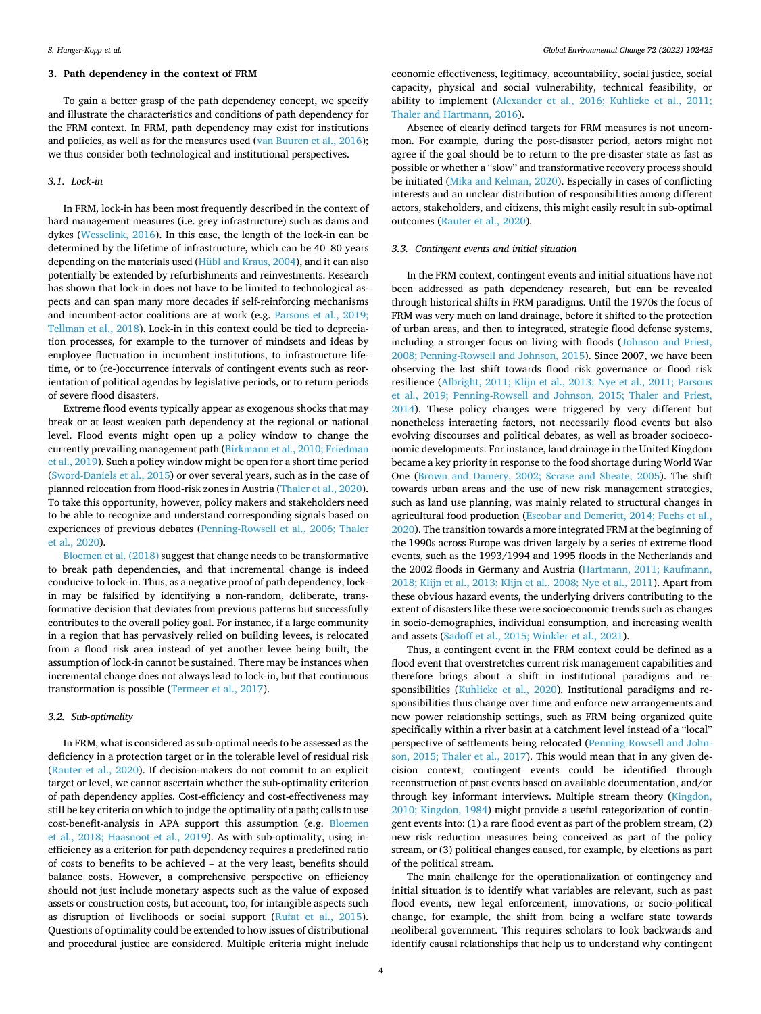# <span id="page-3-0"></span>**3. Path dependency in the context of FRM**

To gain a better grasp of the path dependency concept, we specify and illustrate the characteristics and conditions of path dependency for the FRM context. In FRM, path dependency may exist for institutions and policies, as well as for the measures used [\(van Buuren et al., 2016](#page-10-0)); we thus consider both technological and institutional perspectives.

#### *3.1. Lock-in*

In FRM, lock-in has been most frequently described in the context of hard management measures (i.e. grey infrastructure) such as dams and dykes [\(Wesselink, 2016\)](#page-10-0). In this case, the length of the lock-in can be determined by the lifetime of infrastructure, which can be 40–80 years depending on the materials used ([Hübl and Kraus, 2004\)](#page-9-0), and it can also potentially be extended by refurbishments and reinvestments. Research has shown that lock-in does not have to be limited to technological aspects and can span many more decades if self-reinforcing mechanisms and incumbent-actor coalitions are at work (e.g. [Parsons et al., 2019;](#page-10-0)  [Tellman et al., 2018](#page-10-0)). Lock-in in this context could be tied to depreciation processes, for example to the turnover of mindsets and ideas by employee fluctuation in incumbent institutions, to infrastructure lifetime, or to (re-)occurrence intervals of contingent events such as reorientation of political agendas by legislative periods, or to return periods of severe flood disasters.

Extreme flood events typically appear as exogenous shocks that may break or at least weaken path dependency at the regional or national level. Flood events might open up a policy window to change the currently prevailing management path [\(Birkmann et al., 2010; Friedman](#page-9-0)  [et al., 2019](#page-9-0)). Such a policy window might be open for a short time period ([Sword-Daniels et al., 2015](#page-10-0)) or over several years, such as in the case of planned relocation from flood-risk zones in Austria ([Thaler et al., 2020](#page-10-0)). To take this opportunity, however, policy makers and stakeholders need to be able to recognize and understand corresponding signals based on experiences of previous debates [\(Penning-Rowsell et al., 2006; Thaler](#page-10-0)  [et al., 2020\)](#page-10-0).

[Bloemen et al. \(2018\)](#page-9-0) suggest that change needs to be transformative to break path dependencies, and that incremental change is indeed conducive to lock-in. Thus, as a negative proof of path dependency, lockin may be falsified by identifying a non-random, deliberate, transformative decision that deviates from previous patterns but successfully contributes to the overall policy goal. For instance, if a large community in a region that has pervasively relied on building levees, is relocated from a flood risk area instead of yet another levee being built, the assumption of lock-in cannot be sustained. There may be instances when incremental change does not always lead to lock-in, but that continuous transformation is possible [\(Termeer et al., 2017](#page-10-0)).

# *3.2. Sub-optimality*

In FRM, what is considered as sub-optimal needs to be assessed as the deficiency in a protection target or in the tolerable level of residual risk ([Rauter et al., 2020\)](#page-10-0). If decision-makers do not commit to an explicit target or level, we cannot ascertain whether the sub-optimality criterion of path dependency applies. Cost-efficiency and cost-effectiveness may still be key criteria on which to judge the optimality of a path; calls to use cost-benefit-analysis in APA support this assumption (e.g. Bloemen [et al., 2018; Haasnoot et al., 2019](#page-9-0)). As with sub-optimality, using inefficiency as a criterion for path dependency requires a predefined ratio of costs to benefits to be achieved – at the very least, benefits should balance costs. However, a comprehensive perspective on efficiency should not just include monetary aspects such as the value of exposed assets or construction costs, but account, too, for intangible aspects such as disruption of livelihoods or social support [\(Rufat et al., 2015](#page-10-0)). Questions of optimality could be extended to how issues of distributional and procedural justice are considered. Multiple criteria might include

economic effectiveness, legitimacy, accountability, social justice, social capacity, physical and social vulnerability, technical feasibility, or ability to implement ([Alexander et al., 2016; Kuhlicke et al., 2011;](#page-9-0)  [Thaler and Hartmann, 2016](#page-9-0)).

Absence of clearly defined targets for FRM measures is not uncommon. For example, during the post-disaster period, actors might not agree if the goal should be to return to the pre-disaster state as fast as possible or whether a "slow" and transformative recovery process should be initiated [\(Mika and Kelman, 2020](#page-10-0)). Especially in cases of conflicting interests and an unclear distribution of responsibilities among different actors, stakeholders, and citizens, this might easily result in sub-optimal outcomes [\(Rauter et al., 2020\)](#page-10-0).

#### *3.3. Contingent events and initial situation*

In the FRM context, contingent events and initial situations have not been addressed as path dependency research, but can be revealed through historical shifts in FRM paradigms. Until the 1970s the focus of FRM was very much on land drainage, before it shifted to the protection of urban areas, and then to integrated, strategic flood defense systems, including a stronger focus on living with floods ([Johnson and Priest,](#page-9-0)  [2008; Penning-Rowsell and Johnson, 2015\)](#page-9-0). Since 2007, we have been observing the last shift towards flood risk governance or flood risk resilience ([Albright, 2011; Klijn et al., 2013; Nye et al., 2011; Parsons](#page-9-0)  [et al., 2019; Penning-Rowsell and Johnson, 2015; Thaler and Priest,](#page-9-0)  [2014\)](#page-9-0). These policy changes were triggered by very different but nonetheless interacting factors, not necessarily flood events but also evolving discourses and political debates, as well as broader socioeconomic developments. For instance, land drainage in the United Kingdom became a key priority in response to the food shortage during World War One [\(Brown and Damery, 2002; Scrase and Sheate, 2005\)](#page-9-0). The shift towards urban areas and the use of new risk management strategies, such as land use planning, was mainly related to structural changes in agricultural food production [\(Escobar and Demeritt, 2014; Fuchs et al.,](#page-9-0)  [2020\)](#page-9-0). The transition towards a more integrated FRM at the beginning of the 1990s across Europe was driven largely by a series of extreme flood events, such as the 1993/1994 and 1995 floods in the Netherlands and the 2002 floods in Germany and Austria ([Hartmann, 2011; Kaufmann,](#page-9-0)  [2018; Klijn et al., 2013; Klijn et al., 2008; Nye et al., 2011](#page-9-0)). Apart from these obvious hazard events, the underlying drivers contributing to the extent of disasters like these were socioeconomic trends such as changes in socio-demographics, individual consumption, and increasing wealth and assets ([Sadoff et al., 2015; Winkler et al., 2021\)](#page-10-0).

Thus, a contingent event in the FRM context could be defined as a flood event that overstretches current risk management capabilities and therefore brings about a shift in institutional paradigms and responsibilities [\(Kuhlicke et al., 2020\)](#page-10-0). Institutional paradigms and responsibilities thus change over time and enforce new arrangements and new power relationship settings, such as FRM being organized quite specifically within a river basin at a catchment level instead of a "local" perspective of settlements being relocated ([Penning-Rowsell and John](#page-10-0)[son, 2015; Thaler et al., 2017\)](#page-10-0). This would mean that in any given decision context, contingent events could be identified through reconstruction of past events based on available documentation, and/or through key informant interviews. Multiple stream theory ([Kingdon,](#page-9-0)  [2010; Kingdon, 1984\)](#page-9-0) might provide a useful categorization of contingent events into: (1) a rare flood event as part of the problem stream, (2) new risk reduction measures being conceived as part of the policy stream, or (3) political changes caused, for example, by elections as part of the political stream.

The main challenge for the operationalization of contingency and initial situation is to identify what variables are relevant, such as past flood events, new legal enforcement, innovations, or socio-political change, for example, the shift from being a welfare state towards neoliberal government. This requires scholars to look backwards and identify causal relationships that help us to understand why contingent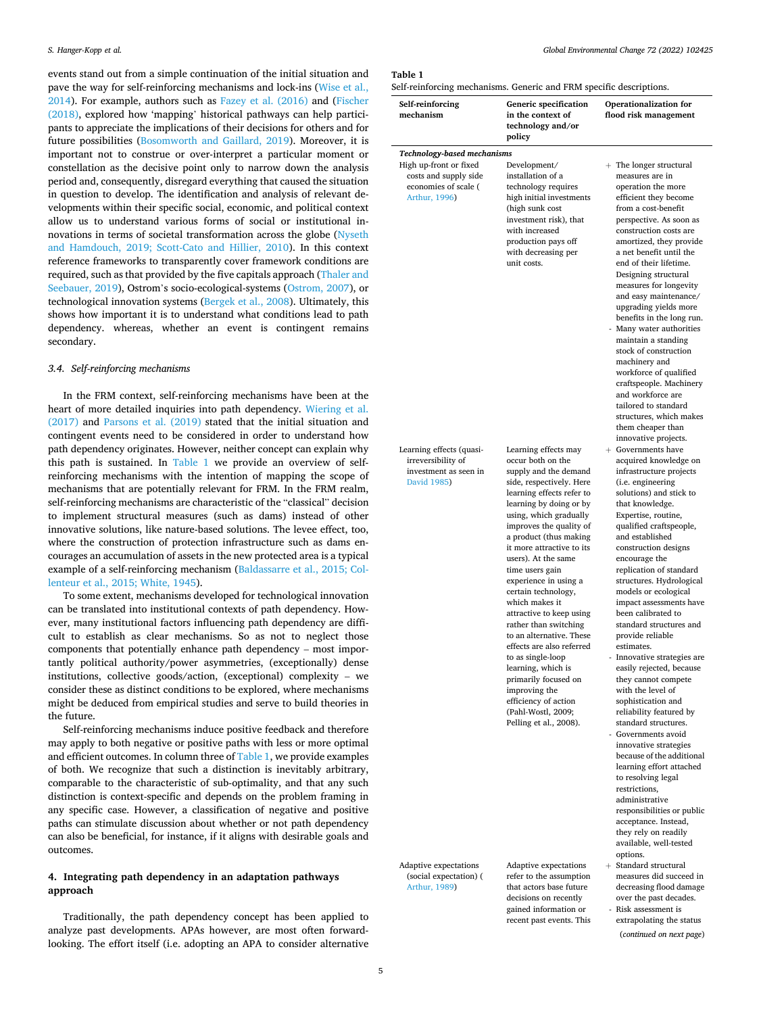<span id="page-4-0"></span>events stand out from a simple continuation of the initial situation and pave the way for self-reinforcing mechanisms and lock-ins [\(Wise et al.,](#page-10-0)  [2014\)](#page-10-0). For example, authors such as [Fazey et al. \(2016\)](#page-9-0) and [\(Fischer](#page-9-0)  [\(2018\),](#page-9-0) explored how 'mapping' historical pathways can help participants to appreciate the implications of their decisions for others and for future possibilities [\(Bosomworth and Gaillard, 2019](#page-9-0)). Moreover, it is important not to construe or over-interpret a particular moment or constellation as the decisive point only to narrow down the analysis period and, consequently, disregard everything that caused the situation in question to develop. The identification and analysis of relevant developments within their specific social, economic, and political context allow us to understand various forms of social or institutional innovations in terms of societal transformation across the globe [\(Nyseth](#page-10-0)  [and Hamdouch, 2019; Scott-Cato and Hillier, 2010](#page-10-0)). In this context reference frameworks to transparently cover framework conditions are required, such as that provided by the five capitals approach [\(Thaler and](#page-10-0)  [Seebauer, 2019](#page-10-0)), Ostrom's socio-ecological-systems [\(Ostrom, 2007\)](#page-10-0), or technological innovation systems ([Bergek et al., 2008](#page-9-0)). Ultimately, this shows how important it is to understand what conditions lead to path dependency. whereas, whether an event is contingent remains secondary.

### *3.4. Self-reinforcing mechanisms*

In the FRM context, self-reinforcing mechanisms have been at the heart of more detailed inquiries into path dependency. [Wiering et al.](#page-10-0)  [\(2017\)](#page-10-0) and [Parsons et al. \(2019\)](#page-10-0) stated that the initial situation and contingent events need to be considered in order to understand how path dependency originates. However, neither concept can explain why this path is sustained. In Table 1 we provide an overview of selfreinforcing mechanisms with the intention of mapping the scope of mechanisms that are potentially relevant for FRM. In the FRM realm, self-reinforcing mechanisms are characteristic of the "classical" decision to implement structural measures (such as dams) instead of other innovative solutions, like nature-based solutions. The levee effect, too, where the construction of protection infrastructure such as dams encourages an accumulation of assets in the new protected area is a typical example of a self-reinforcing mechanism ([Baldassarre et al., 2015; Col](#page-9-0)[lenteur et al., 2015; White, 1945\)](#page-9-0).

To some extent, mechanisms developed for technological innovation can be translated into institutional contexts of path dependency. However, many institutional factors influencing path dependency are difficult to establish as clear mechanisms. So as not to neglect those components that potentially enhance path dependency – most importantly political authority/power asymmetries, (exceptionally) dense institutions, collective goods/action, (exceptional) complexity – we consider these as distinct conditions to be explored, where mechanisms might be deduced from empirical studies and serve to build theories in the future.

Self-reinforcing mechanisms induce positive feedback and therefore may apply to both negative or positive paths with less or more optimal and efficient outcomes. In column three of Table 1, we provide examples of both. We recognize that such a distinction is inevitably arbitrary, comparable to the characteristic of sub-optimality, and that any such distinction is context-specific and depends on the problem framing in any specific case. However, a classification of negative and positive paths can stimulate discussion about whether or not path dependency can also be beneficial, for instance, if it aligns with desirable goals and outcomes.

# **4. Integrating path dependency in an adaptation pathways approach**

Traditionally, the path dependency concept has been applied to analyze past developments. APAs however, are most often forwardlooking. The effort itself (i.e. adopting an APA to consider alternative **Table 1** 

| elf-reinforcing mechanisms. Generic and FRM specific descriptions. |  |
|--------------------------------------------------------------------|--|
|                                                                    |  |

| Self-reinforcing<br>mechanism                                                            | Generic specification<br>in the context of<br>technology and/or<br>policy                                                                                                                                                                                                                                                                                                                                                                                                                                                                                                                                                                                | Operationalization for<br>flood risk management                                                                                                                                                                                                                                                                                                                                                                                                                                                                                                                                                                                                                                                                                                                                                                                                                                                                |  |
|------------------------------------------------------------------------------------------|----------------------------------------------------------------------------------------------------------------------------------------------------------------------------------------------------------------------------------------------------------------------------------------------------------------------------------------------------------------------------------------------------------------------------------------------------------------------------------------------------------------------------------------------------------------------------------------------------------------------------------------------------------|----------------------------------------------------------------------------------------------------------------------------------------------------------------------------------------------------------------------------------------------------------------------------------------------------------------------------------------------------------------------------------------------------------------------------------------------------------------------------------------------------------------------------------------------------------------------------------------------------------------------------------------------------------------------------------------------------------------------------------------------------------------------------------------------------------------------------------------------------------------------------------------------------------------|--|
| Technology-based mechanisms                                                              |                                                                                                                                                                                                                                                                                                                                                                                                                                                                                                                                                                                                                                                          |                                                                                                                                                                                                                                                                                                                                                                                                                                                                                                                                                                                                                                                                                                                                                                                                                                                                                                                |  |
| High up-front or fixed<br>costs and supply side<br>economies of scale (<br>Arthur, 1996) | Development/<br>installation of a<br>technology requires<br>high initial investments<br>(high sunk cost<br>investment risk), that<br>with increased<br>production pays off<br>with decreasing per<br>unit costs.                                                                                                                                                                                                                                                                                                                                                                                                                                         | $+$ The longer structural<br>measures are in<br>operation the more<br>efficient they become<br>from a cost-benefit<br>perspective. As soon as<br>construction costs are<br>amortized, they provide<br>a net benefit until the<br>end of their lifetime.<br>Designing structural<br>measures for longevity<br>and easy maintenance/<br>upgrading yields more<br>benefits in the long run.<br>- Many water authorities<br>maintain a standing<br>stock of construction<br>machinery and<br>workforce of qualified<br>craftspeople. Machinery<br>and workforce are<br>tailored to standard<br>structures, which makes<br>them cheaper than<br>innovative projects.                                                                                                                                                                                                                                                |  |
| Learning effects (quasi-<br>irreversibility of<br>investment as seen in<br>David 1985)   | Learning effects may<br>occur both on the<br>supply and the demand<br>side, respectively. Here<br>learning effects refer to<br>learning by doing or by<br>using, which gradually<br>improves the quality of<br>a product (thus making<br>it more attractive to its<br>users). At the same<br>time users gain<br>experience in using a<br>certain technology,<br>which makes it<br>attractive to keep using<br>rather than switching<br>to an alternative. These<br>effects are also referred<br>to as single-loop<br>learning, which is<br>primarily focused on<br>improving the<br>efficiency of action<br>(Pahl-Wostl, 2009;<br>Pelling et al., 2008). | $+$ Governments have<br>acquired knowledge on<br>infrastructure projects<br>(i.e. engineering<br>solutions) and stick to<br>that knowledge.<br>Expertise, routine,<br>qualified craftspeople,<br>and established<br>construction designs<br>encourage the<br>replication of standard<br>structures. Hydrological<br>models or ecological<br>impact assessments have<br>been calibrated to<br>standard structures and<br>provide reliable<br>estimates.<br>Innovative strategies are<br>easily rejected, because<br>they cannot compete<br>with the level of<br>sophistication and<br>reliability featured by<br>standard structures.<br>- Governments avoid<br>innovative strategies<br>because of the additional<br>learning effort attached<br>to resolving legal<br>restrictions,<br>administrative<br>responsibilities or public<br>acceptance. Instead,<br>they rely on readily<br>available, well-tested |  |
| Adaptive expectations<br>(social expectation) (                                          | Adaptive expectations<br>refer to the assumption                                                                                                                                                                                                                                                                                                                                                                                                                                                                                                                                                                                                         | options.<br>+ Standard structural<br>measures did succeed in                                                                                                                                                                                                                                                                                                                                                                                                                                                                                                                                                                                                                                                                                                                                                                                                                                                   |  |

(social expectation) ( [Arthur, 1989](#page-9-0))

refer to the assumption that actors base future decisions on recently gained information or recent past events. This decreasing flood damage over the past decades. Risk assessment is extrapolating the status

(*continued on next page*)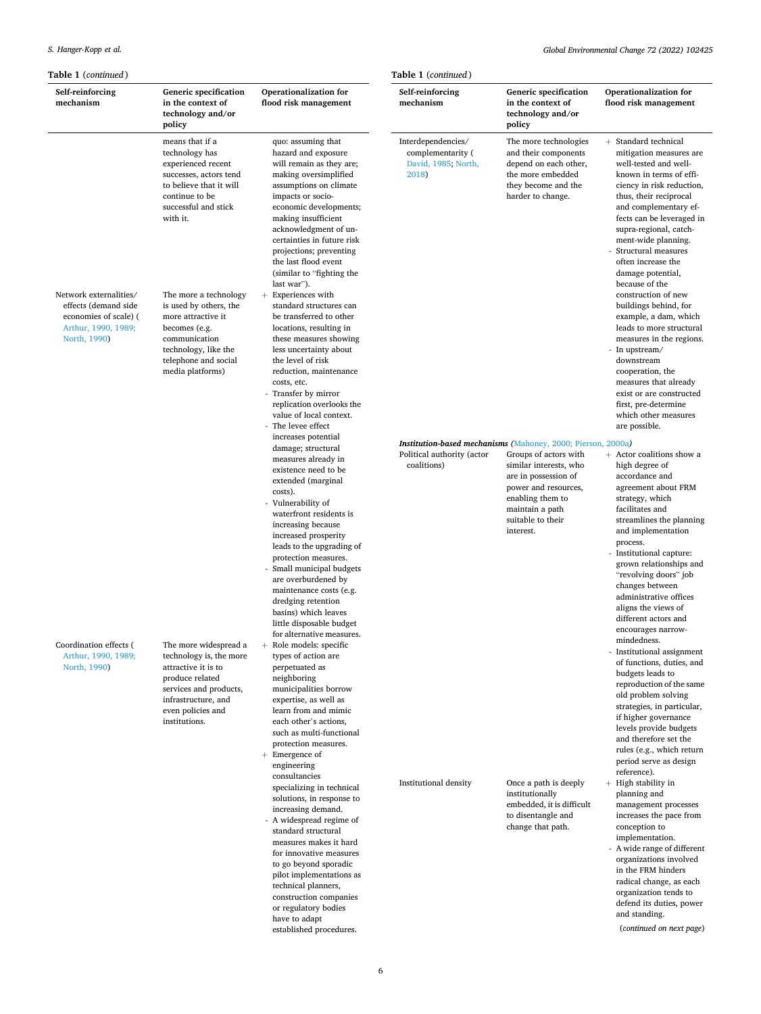# *S. Hanger-Kopp et al.*

# **Table 1** (*continued* )

| <b>Table 1</b> (continued)                                                                                     |                                                                                                                                                                                   |                                                                                                                                                                                                                                                                                                                                                                                                                                                                                                                                                                                                                                                                | <b>Table 1</b> (continued)                                              |                                                                                                                                                                                                                                                 |                                                                                                                                                                                                                                                                                                                                                                                                                                                                                                                                                                                                                                                                        |
|----------------------------------------------------------------------------------------------------------------|-----------------------------------------------------------------------------------------------------------------------------------------------------------------------------------|----------------------------------------------------------------------------------------------------------------------------------------------------------------------------------------------------------------------------------------------------------------------------------------------------------------------------------------------------------------------------------------------------------------------------------------------------------------------------------------------------------------------------------------------------------------------------------------------------------------------------------------------------------------|-------------------------------------------------------------------------|-------------------------------------------------------------------------------------------------------------------------------------------------------------------------------------------------------------------------------------------------|------------------------------------------------------------------------------------------------------------------------------------------------------------------------------------------------------------------------------------------------------------------------------------------------------------------------------------------------------------------------------------------------------------------------------------------------------------------------------------------------------------------------------------------------------------------------------------------------------------------------------------------------------------------------|
| Self-reinforcing<br>mechanism                                                                                  | Generic specification<br>in the context of<br>technology and/or<br>policy                                                                                                         | Operationalization for<br>flood risk management                                                                                                                                                                                                                                                                                                                                                                                                                                                                                                                                                                                                                | Self-reinforcing<br>mechanism                                           | Generic specification<br>in the context of<br>technology and/or<br>policy                                                                                                                                                                       | Operationalization for<br>flood risk management                                                                                                                                                                                                                                                                                                                                                                                                                                                                                                                                                                                                                        |
|                                                                                                                | means that if a<br>technology has<br>experienced recent<br>successes, actors tend<br>to believe that it will<br>continue to be<br>successful and stick<br>with it.                | quo: assuming that<br>hazard and exposure<br>will remain as they are;<br>making oversimplified<br>assumptions on climate<br>impacts or socio-<br>economic developments;<br>making insufficient<br>acknowledgment of un-<br>certainties in future risk<br>projections; preventing<br>the last flood event<br>(similar to "fighting the<br>last war").                                                                                                                                                                                                                                                                                                           | Interdependencies/<br>complementarity (<br>David, 1985; North,<br>2018) | The more technologies<br>and their components<br>depend on each other,<br>the more embedded<br>they become and the<br>harder to change.                                                                                                         | + Standard technical<br>mitigation measures are<br>well-tested and well-<br>known in terms of effi-<br>ciency in risk reduction,<br>thus, their reciprocal<br>and complementary ef-<br>fects can be leveraged in<br>supra-regional, catch-<br>ment-wide planning.<br>Structural measures<br>often increase the<br>damage potential,<br>because of the                                                                                                                                                                                                                                                                                                                  |
| Network externalities/<br>effects (demand side<br>economies of scale) (<br>Arthur, 1990, 1989;<br>North, 1990) | The more a technology<br>is used by others, the<br>more attractive it<br>becomes (e.g.<br>communication<br>technology, like the<br>telephone and social<br>media platforms)       | $+$ Experiences with<br>standard structures can<br>be transferred to other<br>locations, resulting in<br>these measures showing<br>less uncertainty about<br>the level of risk<br>reduction, maintenance<br>costs, etc.<br>- Transfer by mirror<br>replication overlooks the<br>value of local context.<br>The levee effect                                                                                                                                                                                                                                                                                                                                    |                                                                         |                                                                                                                                                                                                                                                 | construction of new<br>buildings behind, for<br>example, a dam, which<br>leads to more structural<br>measures in the regions.<br>In upstream/<br>downstream<br>cooperation, the<br>measures that already<br>exist or are constructed<br>first, pre-determine<br>which other measures<br>are possible.                                                                                                                                                                                                                                                                                                                                                                  |
|                                                                                                                |                                                                                                                                                                                   | increases potential<br>damage; structural<br>measures already in<br>existence need to be<br>extended (marginal<br>costs).<br>Vulnerability of<br>waterfront residents is<br>increasing because<br>increased prosperity<br>leads to the upgrading of<br>protection measures.<br>Small municipal budgets<br>are overburdened by<br>maintenance costs (e.g.<br>dredging retention<br>basins) which leaves<br>little disposable budget<br>for alternative measures.                                                                                                                                                                                                | Political authority (actor<br>coalitions)                               | <b>Institution-based mechanisms (Mahoney, 2000; Pierson, 2000a)</b><br>Groups of actors with<br>similar interests, who<br>are in possession of<br>power and resources,<br>enabling them to<br>maintain a path<br>suitable to their<br>interest. | + Actor coalitions show a<br>high degree of<br>accordance and<br>agreement about FRM<br>strategy, which<br>facilitates and<br>streamlines the planning<br>and implementation<br>process.<br>- Institutional capture:<br>grown relationships and<br>"revolving doors" job<br>changes between<br>administrative offices<br>aligns the views of<br>different actors and<br>encourages narrow-                                                                                                                                                                                                                                                                             |
| Coordination effects (<br>Arthur, 1990, 1989;<br>North, 1990)                                                  | The more widespread a<br>technology is, the more<br>attractive it is to<br>produce related<br>services and products,<br>infrastructure, and<br>even policies and<br>institutions. | $+$ Role models: specific<br>types of action are<br>perpetuated as<br>neighboring<br>municipalities borrow<br>expertise, as well as<br>learn from and mimic<br>each other's actions,<br>such as multi-functional<br>protection measures.<br>$+$ Emergence of<br>engineering<br>consultancies<br>specializing in technical<br>solutions, in response to<br>increasing demand.<br>- A widespread regime of<br>standard structural<br>measures makes it hard<br>for innovative measures<br>to go beyond sporadic<br>pilot implementations as<br>technical planners,<br>construction companies<br>or regulatory bodies<br>have to adapt<br>established procedures. | Institutional density                                                   | Once a path is deeply<br>institutionally<br>embedded, it is difficult<br>to disentangle and<br>change that path.                                                                                                                                | mindedness.<br>- Institutional assignment<br>of functions, duties, and<br>budgets leads to<br>reproduction of the same<br>old problem solving<br>strategies, in particular,<br>if higher governance<br>levels provide budgets<br>and therefore set the<br>rules (e.g., which return<br>period serve as design<br>reference).<br>$+$ High stability in<br>planning and<br>management processes<br>increases the pace from<br>conception to<br>implementation.<br>A wide range of different<br>organizations involved<br>in the FRM hinders<br>radical change, as each<br>organization tends to<br>defend its duties, power<br>and standing.<br>(continued on next page) |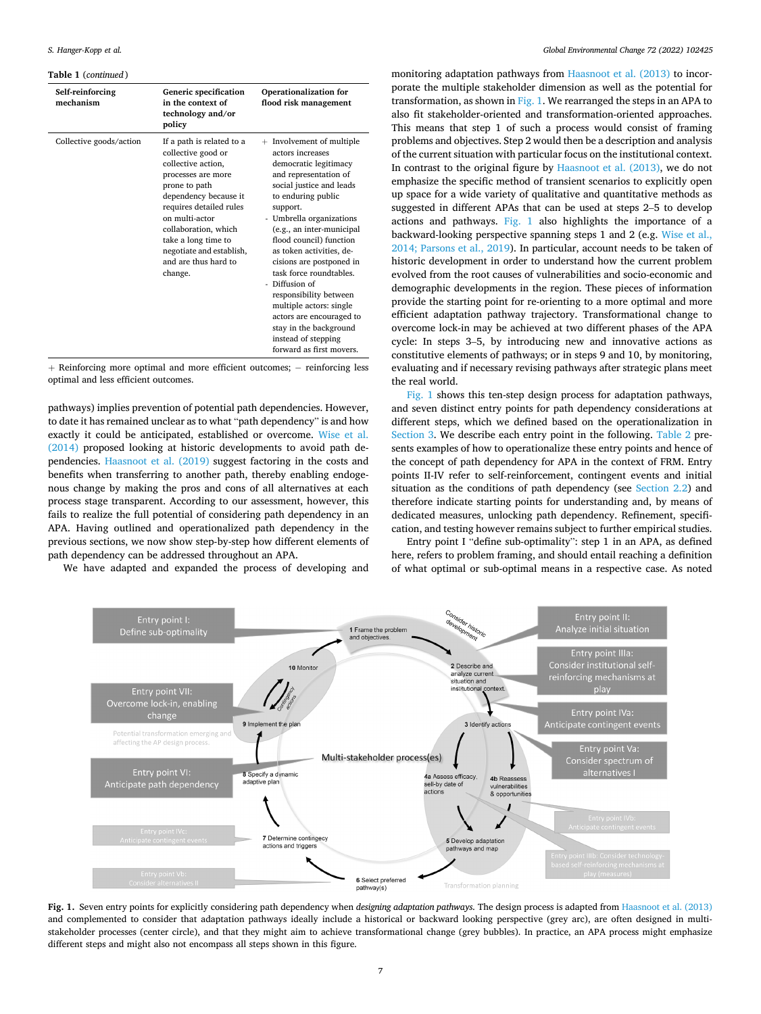#### <span id="page-6-0"></span>**Table 1** (*continued* )

| Self-reinforcing<br>mechanism | Generic specification<br>in the context of<br>technology and/or<br>policy                                                                                                                                                                                                                        | Operationalization for<br>flood risk management                                                                                                                                                                                                                                                                                                                                                                                                                                                                      |
|-------------------------------|--------------------------------------------------------------------------------------------------------------------------------------------------------------------------------------------------------------------------------------------------------------------------------------------------|----------------------------------------------------------------------------------------------------------------------------------------------------------------------------------------------------------------------------------------------------------------------------------------------------------------------------------------------------------------------------------------------------------------------------------------------------------------------------------------------------------------------|
| Collective goods/action       | If a path is related to a<br>collective good or<br>collective action,<br>processes are more<br>prone to path<br>dependency because it<br>requires detailed rules<br>on multi-actor<br>collaboration, which<br>take a long time to<br>negotiate and establish,<br>and are thus hard to<br>change. | + Involvement of multiple<br>actors increases<br>democratic legitimacy<br>and representation of<br>social justice and leads<br>to enduring public<br>support.<br>- Umbrella organizations<br>(e.g., an inter-municipal<br>flood council) function<br>as token activities, de-<br>cisions are postponed in<br>task force roundtables.<br>- Diffusion of<br>responsibility between<br>multiple actors: single<br>actors are encouraged to<br>stay in the background<br>instead of stepping<br>forward as first movers. |

+ Reinforcing more optimal and more efficient outcomes; – reinforcing less optimal and less efficient outcomes.

pathways) implies prevention of potential path dependencies. However, to date it has remained unclear as to what "path dependency" is and how exactly it could be anticipated, established or overcome. [Wise et al.](#page-10-0)  [\(2014\)](#page-10-0) proposed looking at historic developments to avoid path dependencies. [Haasnoot et al. \(2019\)](#page-9-0) suggest factoring in the costs and benefits when transferring to another path, thereby enabling endogenous change by making the pros and cons of all alternatives at each process stage transparent. According to our assessment, however, this fails to realize the full potential of considering path dependency in an APA. Having outlined and operationalized path dependency in the previous sections, we now show step-by-step how different elements of path dependency can be addressed throughout an APA.

We have adapted and expanded the process of developing and

monitoring adaptation pathways from [Haasnoot et al. \(2013\)](#page-9-0) to incorporate the multiple stakeholder dimension as well as the potential for transformation, as shown in Fig. 1. We rearranged the steps in an APA to also fit stakeholder-oriented and transformation-oriented approaches. This means that step 1 of such a process would consist of framing problems and objectives. Step 2 would then be a description and analysis of the current situation with particular focus on the institutional context. In contrast to the original figure by [Haasnoot et al. \(2013\),](#page-9-0) we do not emphasize the specific method of transient scenarios to explicitly open up space for a wide variety of qualitative and quantitative methods as suggested in different APAs that can be used at steps 2–5 to develop actions and pathways. Fig. 1 also highlights the importance of a backward-looking perspective spanning steps 1 and 2 (e.g. [Wise et al.,](#page-10-0)  [2014; Parsons et al., 2019](#page-10-0)). In particular, account needs to be taken of historic development in order to understand how the current problem evolved from the root causes of vulnerabilities and socio-economic and demographic developments in the region. These pieces of information provide the starting point for re-orienting to a more optimal and more efficient adaptation pathway trajectory. Transformational change to overcome lock-in may be achieved at two different phases of the APA cycle: In steps 3–5, by introducing new and innovative actions as constitutive elements of pathways; or in steps 9 and 10, by monitoring, evaluating and if necessary revising pathways after strategic plans meet the real world.

Fig. 1 shows this ten-step design process for adaptation pathways, and seven distinct entry points for path dependency considerations at different steps, which we defined based on the operationalization in [Section 3.](#page-3-0) We describe each entry point in the following. [Table 2](#page-7-0) presents examples of how to operationalize these entry points and hence of the concept of path dependency for APA in the context of FRM. Entry points II-IV refer to self-reinforcement, contingent events and initial situation as the conditions of path dependency (see [Section 2.2](#page-2-0)) and therefore indicate starting points for understanding and, by means of dedicated measures, unlocking path dependency. Refinement, specification, and testing however remains subject to further empirical studies.

Entry point I "define sub-optimality": step 1 in an APA, as defined here, refers to problem framing, and should entail reaching a definition of what optimal or sub-optimal means in a respective case. As noted



**Fig. 1.** Seven entry points for explicitly considering path dependency when *designing adaptation pathways.* The design process is adapted from [Haasnoot et al. \(2013\)](#page-9-0)  and complemented to consider that adaptation pathways ideally include a historical or backward looking perspective (grey arc), are often designed in multistakeholder processes (center circle), and that they might aim to achieve transformational change (grey bubbles). In practice, an APA process might emphasize different steps and might also not encompass all steps shown in this figure.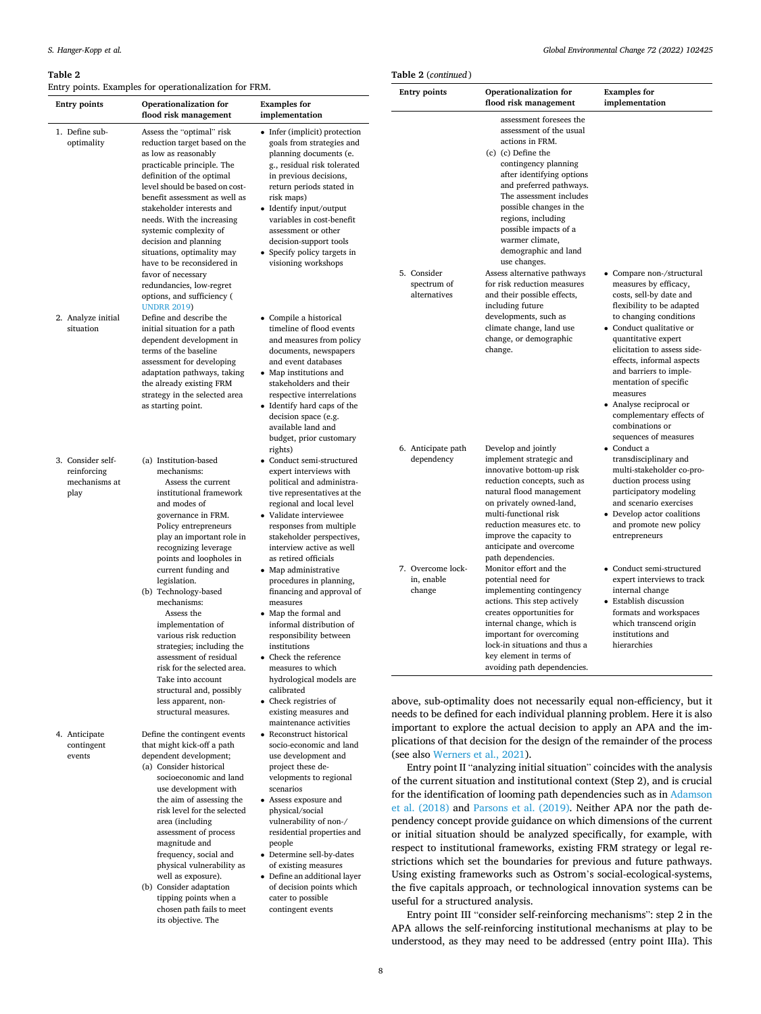1. Define suboptimality

2. Analyze initial situation

#### <span id="page-7-0"></span>**Table 2**

Entry points. Examples for operationalization for FRM.

flood risk management

Assess the "optimal" risk reduction target based on the as low as reasonably practicable principle. The definition of the optimal level should be based on costbenefit assessment as well as stakeholder interests and needs. With the increasing systemic complexity of decision and planning situations, optimality may have to be reconsidered in favor of necessary redundancies, low-regret options, and sufficiency ( [UNDRR 2019](#page-10-0))

Define and describe the initial situation for a path dependent development in terms of the baseline assessment for developing adaptation pathways, taking the already existing FRM strategy in the selected area as starting point.

**Entry points Operationalization for** 

| <b>Entry points</b>                        | Operationalization for<br>flood risk management                                                                                                                                                                                                                                                                                 | <b>Examples</b> for<br>implementation                                                                                                 |
|--------------------------------------------|---------------------------------------------------------------------------------------------------------------------------------------------------------------------------------------------------------------------------------------------------------------------------------------------------------------------------------|---------------------------------------------------------------------------------------------------------------------------------------|
|                                            | assessment foresees the<br>assessment of the usual<br>actions in FRM.<br>$(c)$ $(c)$ Define the<br>contingency planning<br>after identifying options<br>and preferred pathways.<br>The assessment includes<br>possible changes in the<br>regions, including<br>possible impacts of a<br>warmer climate,<br>demographic and land |                                                                                                                                       |
| 5. Consider<br>spectrum of<br>alternatives | use changes.<br>Assess alternative pathways<br>for risk reduction measures<br>and their possible effects,<br>including future<br>developments, such as                                                                                                                                                                          | • Compare non-/structural<br>measures by efficacy,<br>costs, sell-by date and<br>flexibility to be adapted<br>to changing conditions  |
|                                            | climate change, land use<br>change, or demographic<br>change.                                                                                                                                                                                                                                                                   | • Conduct qualitative or<br>quantitative expert<br>elicitation to assess side-<br>effects, informal aspects<br>and barriers to imple- |
|                                            |                                                                                                                                                                                                                                                                                                                                 | mentation of specific<br>measures<br>• Analyse reciprocal or<br>complementary effects of<br>combinations or                           |
|                                            |                                                                                                                                                                                                                                                                                                                                 | sequences of measures                                                                                                                 |
| 6. Anticipate path<br>dependency           | Develop and jointly<br>implement strategic and                                                                                                                                                                                                                                                                                  | • Conduct a<br>transdisciplinary and                                                                                                  |
|                                            | innovative bottom-up risk                                                                                                                                                                                                                                                                                                       | multi-stakeholder co-pro-                                                                                                             |
|                                            | reduction concepts, such as                                                                                                                                                                                                                                                                                                     | duction process using                                                                                                                 |
|                                            | natural flood management                                                                                                                                                                                                                                                                                                        | participatory modeling                                                                                                                |
|                                            | on privately owned-land,<br>multi-functional risk                                                                                                                                                                                                                                                                               | and scenario exercises<br>• Develop actor coalitions                                                                                  |
|                                            | reduction measures etc. to                                                                                                                                                                                                                                                                                                      | and promote new policy                                                                                                                |
|                                            | improve the capacity to                                                                                                                                                                                                                                                                                                         | entrepreneurs                                                                                                                         |
|                                            | anticipate and overcome                                                                                                                                                                                                                                                                                                         |                                                                                                                                       |
|                                            | path dependencies.                                                                                                                                                                                                                                                                                                              |                                                                                                                                       |
| 7. Overcome lock-                          | Monitor effort and the                                                                                                                                                                                                                                                                                                          | • Conduct semi-structured                                                                                                             |
| in, enable                                 | potential need for                                                                                                                                                                                                                                                                                                              | expert interviews to track                                                                                                            |
| change                                     | implementing contingency<br>actions. This step actively<br>creates opportunities for                                                                                                                                                                                                                                            | internal change<br>• Establish discussion<br>formats and workspaces                                                                   |
|                                            | internal change, which is                                                                                                                                                                                                                                                                                                       | which transcend origin                                                                                                                |
|                                            | important for overcoming<br>lock-in situations and thus a                                                                                                                                                                                                                                                                       | institutions and<br>hierarchies                                                                                                       |

above, sub-optimality does not necessarily equal non-efficiency, but it needs to be defined for each individual planning problem. Here it is also important to explore the actual decision to apply an APA and the implications of that decision for the design of the remainder of the process (see also [Werners et al., 2021](#page-10-0)).

Entry point II "analyzing initial situation" coincides with the analysis of the current situation and institutional context (Step 2), and is crucial for the identification of looming path dependencies such as in [Adamson](#page-9-0)  [et al. \(2018\)](#page-9-0) and [Parsons et al. \(2019\).](#page-10-0) Neither APA nor the path dependency concept provide guidance on which dimensions of the current or initial situation should be analyzed specifically, for example, with respect to institutional frameworks, existing FRM strategy or legal restrictions which set the boundaries for previous and future pathways. Using existing frameworks such as Ostrom's social-ecological-systems, the five capitals approach, or technological innovation systems can be useful for a structured analysis.

Entry point III "consider self-reinforcing mechanisms": step 2 in the APA allows the self-reinforcing institutional mechanisms at play to be understood, as they may need to be addressed (entry point IIIa). This

| 3. Consider self- | (a) Institution-based        |  |
|-------------------|------------------------------|--|
| reinforcing       | mechanisms:                  |  |
| mechanisms at     | Assess the current           |  |
| play              | institutional framework      |  |
|                   | and modes of                 |  |
|                   | governance in FRM.           |  |
|                   | Policy entrepreneurs         |  |
|                   | play an important role in    |  |
|                   | recognizing leverage         |  |
|                   | points and loopholes in      |  |
|                   | current funding and          |  |
|                   | legislation.                 |  |
|                   | (b) Technology-based         |  |
|                   | mechanisms:                  |  |
|                   | Assess the                   |  |
|                   | implementation of            |  |
|                   | various risk reduction       |  |
|                   | strategies; including the    |  |
|                   | assessment of residual       |  |
|                   | risk for the selected area.  |  |
|                   | Take into account            |  |
|                   | structural and, possibly     |  |
|                   | less apparent, non-          |  |
|                   | structural measures.         |  |
| 4. Anticipate     | Define the contingent events |  |
| contingent        | that might kick-off a path   |  |
| events            | dependent development;       |  |
|                   | (a) Consider historical      |  |
|                   | socioeconomic and land       |  |
|                   | use development with         |  |
|                   |                              |  |

the aim of assessing the risk level for the selected area (including assessment of process magnitude and frequency, social and physical vulnerability as well as exposure). (b) Consider adaptation tipping points when a chosen path fails to meet its objective. The

- **Examples for implementation**   $\bullet$  Infer (implicit) protection goals from strategies planning documents g., residual risk toler in previous decisions return periods stated risk maps)
- Identify input/outpu variables in cost-ben assessment or other decision-support too
- Specify policy targets visioning workshops
- Compile a historical timeline of flood eve and measures from p documents, newspap and event databases • Map institutions and
- stakeholders and the respective interrelati • Identify hard caps of
- decision space (e.g. available land and budget, prior custom
- rights)  $\bullet$  Conduct semi-structu expert interviews with political and adminis tive representatives a regional and local lev
- Validate interviewee responses from multi stakeholder perspect interview active as w as retired officials
- Map administrative procedures in planni financing and approv measures
- Map the formal and informal distribution responsibility betwee institutions
- Check the reference measures to which hydrological models are calibrated
- Check registries of existing measures and maintenance activities
- Reconstruct historical socio-economic and land use development and project these developments to regional
- scenarios • Assess exposure and physical/social vulnerability of non-/
- residential properties and people • Determine sell-by-dates
- of existing measures • Define an additional layer of decision points which
- cater to possible contingent events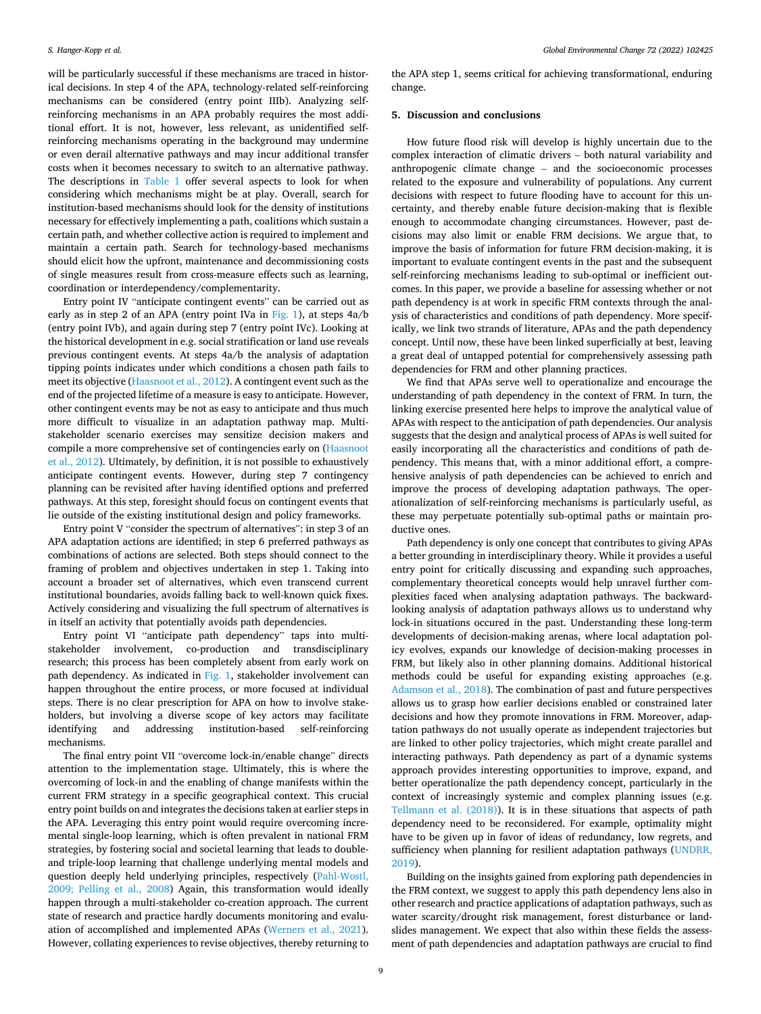will be particularly successful if these mechanisms are traced in historical decisions. In step 4 of the APA, technology-related self-reinforcing mechanisms can be considered (entry point IIIb). Analyzing selfreinforcing mechanisms in an APA probably requires the most additional effort. It is not, however, less relevant, as unidentified selfreinforcing mechanisms operating in the background may undermine or even derail alternative pathways and may incur additional transfer costs when it becomes necessary to switch to an alternative pathway. The descriptions in [Table 1](#page-4-0) offer several aspects to look for when considering which mechanisms might be at play. Overall, search for institution-based mechanisms should look for the density of institutions necessary for effectively implementing a path, coalitions which sustain a certain path, and whether collective action is required to implement and maintain a certain path. Search for technology-based mechanisms should elicit how the upfront, maintenance and decommissioning costs of single measures result from cross-measure effects such as learning, coordination or interdependency/complementarity.

Entry point IV "anticipate contingent events" can be carried out as early as in step 2 of an APA (entry point IVa in [Fig. 1\)](#page-6-0), at steps  $4a/b$ (entry point IVb), and again during step 7 (entry point IVc). Looking at the historical development in e.g. social stratification or land use reveals previous contingent events. At steps 4a/b the analysis of adaptation tipping points indicates under which conditions a chosen path fails to meet its objective [\(Haasnoot et al., 2012\)](#page-9-0). A contingent event such as the end of the projected lifetime of a measure is easy to anticipate. However, other contingent events may be not as easy to anticipate and thus much more difficult to visualize in an adaptation pathway map. Multistakeholder scenario exercises may sensitize decision makers and compile a more comprehensive set of contingencies early on ([Haasnoot](#page-9-0)  [et al., 2012](#page-9-0)). Ultimately, by definition, it is not possible to exhaustively anticipate contingent events. However, during step 7 contingency planning can be revisited after having identified options and preferred pathways. At this step, foresight should focus on contingent events that lie outside of the existing institutional design and policy frameworks.

Entry point V "consider the spectrum of alternatives": in step 3 of an APA adaptation actions are identified; in step 6 preferred pathways as combinations of actions are selected. Both steps should connect to the framing of problem and objectives undertaken in step 1. Taking into account a broader set of alternatives, which even transcend current institutional boundaries, avoids falling back to well-known quick fixes. Actively considering and visualizing the full spectrum of alternatives is in itself an activity that potentially avoids path dependencies.

Entry point VI "anticipate path dependency" taps into multistakeholder involvement, co-production and transdisciplinary research; this process has been completely absent from early work on path dependency. As indicated in [Fig. 1,](#page-6-0) stakeholder involvement can happen throughout the entire process, or more focused at individual steps. There is no clear prescription for APA on how to involve stakeholders, but involving a diverse scope of key actors may facilitate identifying and addressing institution-based self-reinforcing mechanisms.

The final entry point VII "overcome lock-in/enable change" directs attention to the implementation stage. Ultimately, this is where the overcoming of lock-in and the enabling of change manifests within the current FRM strategy in a specific geographical context. This crucial entry point builds on and integrates the decisions taken at earlier steps in the APA. Leveraging this entry point would require overcoming incremental single-loop learning, which is often prevalent in national FRM strategies, by fostering social and societal learning that leads to doubleand triple-loop learning that challenge underlying mental models and question deeply held underlying principles, respectively [\(Pahl-Wostl,](#page-10-0)  [2009; Pelling et al., 2008\)](#page-10-0) Again, this transformation would ideally happen through a multi-stakeholder co-creation approach. The current state of research and practice hardly documents monitoring and evaluation of accomplished and implemented APAs ([Werners et al., 2021](#page-10-0)). However, collating experiences to revise objectives, thereby returning to

the APA step 1, seems critical for achieving transformational, enduring change.

# **5. Discussion and conclusions**

How future flood risk will develop is highly uncertain due to the complex interaction of climatic drivers – both natural variability and anthropogenic climate change – and the socioeconomic processes related to the exposure and vulnerability of populations. Any current decisions with respect to future flooding have to account for this uncertainty, and thereby enable future decision-making that is flexible enough to accommodate changing circumstances. However, past decisions may also limit or enable FRM decisions. We argue that, to improve the basis of information for future FRM decision-making, it is important to evaluate contingent events in the past and the subsequent self-reinforcing mechanisms leading to sub-optimal or inefficient outcomes. In this paper, we provide a baseline for assessing whether or not path dependency is at work in specific FRM contexts through the analysis of characteristics and conditions of path dependency. More specifically, we link two strands of literature, APAs and the path dependency concept. Until now, these have been linked superficially at best, leaving a great deal of untapped potential for comprehensively assessing path dependencies for FRM and other planning practices.

We find that APAs serve well to operationalize and encourage the understanding of path dependency in the context of FRM. In turn, the linking exercise presented here helps to improve the analytical value of APAs with respect to the anticipation of path dependencies. Our analysis suggests that the design and analytical process of APAs is well suited for easily incorporating all the characteristics and conditions of path dependency. This means that, with a minor additional effort, a comprehensive analysis of path dependencies can be achieved to enrich and improve the process of developing adaptation pathways. The operationalization of self-reinforcing mechanisms is particularly useful, as these may perpetuate potentially sub-optimal paths or maintain productive ones.

Path dependency is only one concept that contributes to giving APAs a better grounding in interdisciplinary theory. While it provides a useful entry point for critically discussing and expanding such approaches, complementary theoretical concepts would help unravel further complexities faced when analysing adaptation pathways. The backwardlooking analysis of adaptation pathways allows us to understand why lock-in situations occured in the past. Understanding these long-term developments of decision-making arenas, where local adaptation policy evolves, expands our knowledge of decision-making processes in FRM, but likely also in other planning domains. Additional historical methods could be useful for expanding existing approaches (e.g. [Adamson et al., 2018](#page-9-0)). The combination of past and future perspectives allows us to grasp how earlier decisions enabled or constrained later decisions and how they promote innovations in FRM. Moreover, adaptation pathways do not usually operate as independent trajectories but are linked to other policy trajectories, which might create parallel and interacting pathways. Path dependency as part of a dynamic systems approach provides interesting opportunities to improve, expand, and better operationalize the path dependency concept, particularly in the context of increasingly systemic and complex planning issues (e.g. [Tellmann et al. \(2018\)](#page-10-0)). It is in these situations that aspects of path dependency need to be reconsidered. For example, optimality might have to be given up in favor of ideas of redundancy, low regrets, and sufficiency when planning for resilient adaptation pathways [\(UNDRR,](#page-10-0)  [2019\)](#page-10-0).

Building on the insights gained from exploring path dependencies in the FRM context, we suggest to apply this path dependency lens also in other research and practice applications of adaptation pathways, such as water scarcity/drought risk management, forest disturbance or landslides management. We expect that also within these fields the assessment of path dependencies and adaptation pathways are crucial to find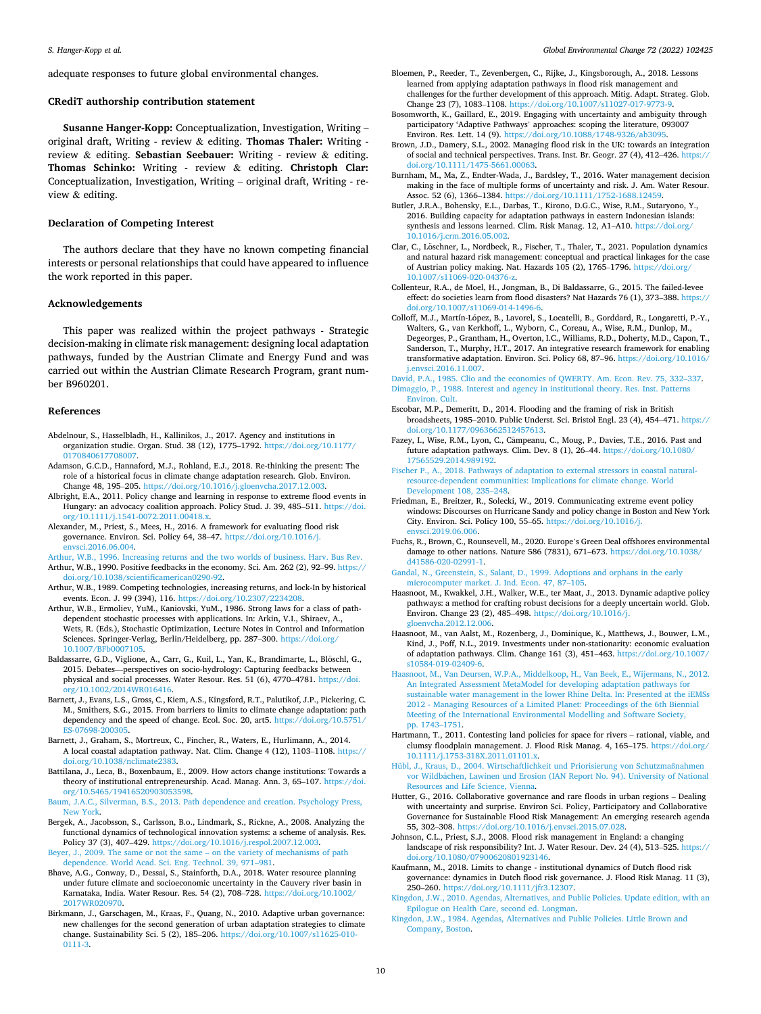<span id="page-9-0"></span>adequate responses to future global environmental changes.

### **CRediT authorship contribution statement**

**Susanne Hanger-Kopp:** Conceptualization, Investigation, Writing – original draft, Writing - review & editing. **Thomas Thaler:** Writing review & editing. **Sebastian Seebauer:** Writing - review & editing. **Thomas Schinko:** Writing - review & editing. **Christoph Clar:**  Conceptualization, Investigation, Writing – original draft, Writing - review & editing.

# **Declaration of Competing Interest**

The authors declare that they have no known competing financial interests or personal relationships that could have appeared to influence the work reported in this paper.

# **Acknowledgements**

This paper was realized within the project pathways - Strategic decision-making in climate risk management: designing local adaptation pathways, funded by the Austrian Climate and Energy Fund and was carried out within the Austrian Climate Research Program, grant number B960201.

#### **References**

- Abdelnour, S., Hasselbladh, H., Kallinikos, J., 2017. Agency and institutions in organization studie. Organ. Stud. 38 (12), 1775–1792. [https://doi.org/10.1177/](https://doi.org/10.1177/0170840617708007)  [0170840617708007.](https://doi.org/10.1177/0170840617708007)
- Adamson, G.C.D., Hannaford, M.J., Rohland, E.J., 2018. Re-thinking the present: The role of a historical focus in climate change adaptation research. Glob. Environ. Change 48, 195–205.<https://doi.org/10.1016/j.gloenvcha.2017.12.003>.
- Albright, E.A., 2011. Policy change and learning in response to extreme flood events in Hungary: an advocacy coalition approach. Policy Stud. J. 39, 485-511. https://doi. [org/10.1111/j.1541-0072.2011.00418.x.](https://doi.org/10.1111/j.1541-0072.2011.00418.x)
- Alexander, M., Priest, S., Mees, H., 2016. A framework for evaluating flood risk governance. Environ. Sci. Policy 64, 38–47. [https://doi.org/10.1016/j.](https://doi.org/10.1016/j.envsci.2016.06.004)  [envsci.2016.06.004.](https://doi.org/10.1016/j.envsci.2016.06.004)
- [Arthur, W.B., 1996. Increasing returns and the two worlds of business. Harv. Bus Rev.](http://refhub.elsevier.com/S0959-3780(21)00204-1/h0025)  Arthur, W.B., 1990. Positive feedbacks in the economy. Sci. Am. 262 (2), 92–99. [https://](https://doi.org/10.1038/scientificamerican0290-92)  [doi.org/10.1038/scientificamerican0290-92](https://doi.org/10.1038/scientificamerican0290-92).
- Arthur, W.B., 1989. Competing technologies, increasing returns, and lock-In by historical events. Econ. J. 99 (394), 116. <https://doi.org/10.2307/2234208>.
- Arthur, W.B., Ermoliev, YuM., Kaniovski, YuM., 1986. Strong laws for a class of pathdependent stochastic processes with applications. In: Arkin, V.I., Shiraev, A., Wets, R. (Eds.), Stochastic Optimization, Lecture Notes in Control and Information Sciences. Springer-Verlag, Berlin/Heidelberg, pp. 287-300. [https://doi.org/](https://doi.org/10.1007/BFb0007105) [10.1007/BFb0007105.](https://doi.org/10.1007/BFb0007105)
- Baldassarre, G.D., Viglione, A., Carr, G., Kuil, L., Yan, K., Brandimarte, L., Blöschl, G., 2015. Debates—perspectives on socio-hydrology: Capturing feedbacks between physical and social processes. Water Resour. Res. 51 (6), 4770–4781. [https://doi.](https://doi.org/10.1002/2014WR016416) [org/10.1002/2014WR016416](https://doi.org/10.1002/2014WR016416).
- Barnett, J., Evans, L.S., Gross, C., Kiem, A.S., Kingsford, R.T., Palutikof, J.P., Pickering, C. M., Smithers, S.G., 2015. From barriers to limits to climate change adaptation: path dependency and the speed of change. Ecol. Soc. 20, art5. https://doi.org/10.5751/ [ES-07698-200305](https://doi.org/10.5751/ES-07698-200305).
- Barnett, J., Graham, S., Mortreux, C., Fincher, R., Waters, E., Hurlimann, A., 2014. A local coastal adaptation pathway. Nat. Clim. Change 4 (12), 1103–1108. [https://](https://doi.org/10.1038/nclimate2383)  [doi.org/10.1038/nclimate2383.](https://doi.org/10.1038/nclimate2383)
- Battilana, J., Leca, B., Boxenbaum, E., 2009. How actors change institutions: Towards a theory of institutional entrepreneurship. Acad. Manag. Ann. 3, 65–107. [https://doi.](https://doi.org/10.5465/19416520903053598)  [org/10.5465/19416520903053598](https://doi.org/10.5465/19416520903053598).
- [Baum, J.A.C., Silverman, B.S., 2013. Path dependence and creation. Psychology Press,](http://refhub.elsevier.com/S0959-3780(21)00204-1/h0065)  [New York.](http://refhub.elsevier.com/S0959-3780(21)00204-1/h0065)
- Bergek, A., Jacobsson, S., Carlsson, B.o., Lindmark, S., Rickne, A., 2008. Analyzing the functional dynamics of technological innovation systems: a scheme of analysis. Res. Policy 37 (3), 407–429.<https://doi.org/10.1016/j.respol.2007.12.003>.

[Beyer, J., 2009. The same or not the same](http://refhub.elsevier.com/S0959-3780(21)00204-1/h0075) – on the variety of mechanisms of path [dependence. World Acad. Sci. Eng. Technol. 39, 971](http://refhub.elsevier.com/S0959-3780(21)00204-1/h0075)–981.

- Bhave, A.G., Conway, D., Dessai, S., Stainforth, D.A., 2018. Water resource planning under future climate and socioeconomic uncertainty in the Cauvery river basin in Karnataka, India. Water Resour. Res. 54 (2), 708–728. [https://doi.org/10.1002/](https://doi.org/10.1002/2017WR020970)  [2017WR020970.](https://doi.org/10.1002/2017WR020970)
- Birkmann, J., Garschagen, M., Kraas, F., Quang, N., 2010. Adaptive urban governance: new challenges for the second generation of urban adaptation strategies to climate change. Sustainability Sci. 5 (2), 185–206. [https://doi.org/10.1007/s11625-010-](https://doi.org/10.1007/s11625-010-0111-3)  [0111-3.](https://doi.org/10.1007/s11625-010-0111-3)
- Bloemen, P., Reeder, T., Zevenbergen, C., Rijke, J., Kingsborough, A., 2018. Lessons learned from applying adaptation pathways in flood risk management and challenges for the further development of this approach. Mitig. Adapt. Strateg. Glob. Change 23 (7), 1083-1108. https://doi.org/10.1007/s11027-017-9
- Bosomworth, K., Gaillard, E., 2019. Engaging with uncertainty and ambiguity through participatory 'Adaptive Pathways' approaches: scoping the literature, 093007<br>Environ, Res. Lett. 14 (9). https://doi.org/10.1088/1748-9326/ab3095. Environ. Res. Lett. 14 (9).  $\frac{https://doi.org/10.1088/17388}{https://doi.org/10.1088/17336}$
- Brown, J.D., Damery, S.L., 2002. Managing flood risk in the UK: towards an integration of social and technical perspectives. Trans. Inst. Br. Geogr. 27 (4), 412–426. [https://](https://doi.org/10.1111/1475-5661.00063)  [doi.org/10.1111/1475-5661.00063.](https://doi.org/10.1111/1475-5661.00063)
- Burnham, M., Ma, Z., Endter-Wada, J., Bardsley, T., 2016. Water management decision making in the face of multiple forms of uncertainty and risk. J. Am. Water Resour. Assoc. 52 (6), 1366–1384. [https://doi.org/10.1111/1752-1688.12459.](https://doi.org/10.1111/1752-1688.12459)
- Butler, J.R.A., Bohensky, E.L., Darbas, T., Kirono, D.G.C., Wise, R.M., Sutaryono, Y., 2016. Building capacity for adaptation pathways in eastern Indonesian islands: synthesis and lessons learned. Clim. Risk Manag. 12, A1-A10. https://doi.org/ [10.1016/j.crm.2016.05.002](https://doi.org/10.1016/j.crm.2016.05.002).
- Clar, C., Löschner, L., Nordbeck, R., Fischer, T., Thaler, T., 2021. Population dynamics and natural hazard risk management: conceptual and practical linkages for the case of Austrian policy making. Nat. Hazards 105 (2), 1765–1796. [https://doi.org/](https://doi.org/10.1007/s11069-020-04376-z)  [10.1007/s11069-020-04376-z](https://doi.org/10.1007/s11069-020-04376-z).
- Collenteur, R.A., de Moel, H., Jongman, B., Di Baldassarre, G., 2015. The failed-levee effect: do societies learn from flood disasters? Nat Hazards 76 (1), 373–388. [https://](https://doi.org/10.1007/s11069-014-1496-6)  [doi.org/10.1007/s11069-014-1496-6.](https://doi.org/10.1007/s11069-014-1496-6)
- Colloff, M.J., Martín-López, B., Lavorel, S., Locatelli, B., Gorddard, R., Longaretti, P.-Y., Walters, G., van Kerkhoff, L., Wyborn, C., Coreau, A., Wise, R.M., Dunlop, M., Degeorges, P., Grantham, H., Overton, I.C., Williams, R.D., Doherty, M.D., Capon, T., Sanderson, T., Murphy, H.T., 2017. An integrative research framework for enabling transformative adaptation. Environ. Sci. Policy 68, 87–96. [https://doi.org/10.1016/](https://doi.org/10.1016/j.envsci.2016.11.007)  [j.envsci.2016.11.007](https://doi.org/10.1016/j.envsci.2016.11.007).

[David, P.A., 1985. Clio and the economics of QWERTY. Am. Econ. Rev. 75, 332](http://refhub.elsevier.com/S0959-3780(21)00204-1/h0130)–337. [Dimaggio, P., 1988. Interest and agency in institutional theory. Res. Inst. Patterns](http://refhub.elsevier.com/S0959-3780(21)00204-1/h0135)  [Environ. Cult.](http://refhub.elsevier.com/S0959-3780(21)00204-1/h0135)

- Escobar, M.P., Demeritt, D., 2014. Flooding and the framing of risk in British broadsheets, 1985–2010. Public Underst. Sci. Bristol Engl. 23 (4), 454–471. [https://](https://doi.org/10.1177/0963662512457613)  [doi.org/10.1177/0963662512457613.](https://doi.org/10.1177/0963662512457613)
- Fazey, I., Wise, R.M., Lyon, C., Câmpeanu, C., Moug, P., Davies, T.E., 2016. Past and future adaptation pathways. Clim. Dev. 8 (1), 26–44. [https://doi.org/10.1080/](https://doi.org/10.1080/17565529.2014.989192) [17565529.2014.989192.](https://doi.org/10.1080/17565529.2014.989192)
- [Fischer P., A., 2018. Pathways of adaptation to external stressors in coastal natural](http://refhub.elsevier.com/S0959-3780(21)00204-1/optZ1BTKjaPah)[resource-dependent communities: Implications for climate change. World](http://refhub.elsevier.com/S0959-3780(21)00204-1/optZ1BTKjaPah) [Development 108, 235](http://refhub.elsevier.com/S0959-3780(21)00204-1/optZ1BTKjaPah)–248.
- Friedman, E., Breitzer, R., Solecki, W., 2019. Communicating extreme event policy windows: Discourses on Hurricane Sandy and policy change in Boston and New York City. Environ. Sci. Policy 100, 55–65. [https://doi.org/10.1016/j.](https://doi.org/10.1016/j.envsci.2019.06.006) [envsci.2019.06.006.](https://doi.org/10.1016/j.envsci.2019.06.006)
- Fuchs, R., Brown, C., Rounsevell, M., 2020. Europe's Green Deal offshores environmental damage to other nations. Nature 586 (7831), 671–673. [https://doi.org/10.1038/](https://doi.org/10.1038/d41586-020-02991-1)  [d41586-020-02991-1.](https://doi.org/10.1038/d41586-020-02991-1)
- [Gandal, N., Greenstein, S., Salant, D., 1999. Adoptions and orphans in the early](http://refhub.elsevier.com/S0959-3780(21)00204-1/h0160)  [microcomputer market. J. Ind. Econ. 47, 87](http://refhub.elsevier.com/S0959-3780(21)00204-1/h0160)–105.
- Haasnoot, M., Kwakkel, J.H., Walker, W.E., ter Maat, J., 2013. Dynamic adaptive policy pathways: a method for crafting robust decisions for a deeply uncertain world. Glob. Environ. Change 23 (2), 485–498. [https://doi.org/10.1016/j.](https://doi.org/10.1016/j.gloenvcha.2012.12.006) [gloenvcha.2012.12.006.](https://doi.org/10.1016/j.gloenvcha.2012.12.006)
- Haasnoot, M., van Aalst, M., Rozenberg, J., Dominique, K., Matthews, J., Bouwer, L.M., Kind, J., Poff, N.L., 2019. Investments under non-stationarity: economic evaluation of adaptation pathways. Clim. Change 161 (3), 451–463. [https://doi.org/10.1007/](https://doi.org/10.1007/s10584-019-02409-6) [s10584-019-02409-6](https://doi.org/10.1007/s10584-019-02409-6).
- [Haasnoot, M., Van Deursen, W.P.A., Middelkoop, H., Van Beek, E., Wijermans, N., 2012.](http://refhub.elsevier.com/S0959-3780(21)00204-1/h0175)  [An Integrated Assessment MetaModel for developing adaptation pathways for](http://refhub.elsevier.com/S0959-3780(21)00204-1/h0175) [sustainable water management in the lower Rhine Delta. In: Presented at the iEMSs](http://refhub.elsevier.com/S0959-3780(21)00204-1/h0175)  [2012 - Managing Resources of a Limited Planet: Proceedings of the 6th Biennial](http://refhub.elsevier.com/S0959-3780(21)00204-1/h0175) [Meeting of the International Environmental Modelling and Software Society,](http://refhub.elsevier.com/S0959-3780(21)00204-1/h0175) [pp. 1743](http://refhub.elsevier.com/S0959-3780(21)00204-1/h0175)–1751.
- Hartmann, T., 2011. Contesting land policies for space for rivers rational, viable, and clumsy floodplain management. J. Flood Risk Manag. 4, 165–175. [https://doi.org/](https://doi.org/10.1111/j.1753-318X.2011.01101.x) [10.1111/j.1753-318X.2011.01101.x.](https://doi.org/10.1111/j.1753-318X.2011.01101.x)
- [Hübl, J., Kraus, D., 2004. Wirtschaftlichkeit und Priorisierung von Schutzma](http://refhub.elsevier.com/S0959-3780(21)00204-1/h0185)ßnahmen vor Wildbächen, Lawinen und Erosion (IAN Report No. 94). University of National [Resources and Life Science, Vienna.](http://refhub.elsevier.com/S0959-3780(21)00204-1/h0185)
- Hutter, G., 2016. Collaborative governance and rare floods in urban regions Dealing with uncertainty and surprise. Environ Sci. Policy, Participatory and Collaborative Governance for Sustainable Flood Risk Management: An emerging research agenda 55, 302–308. [https://doi.org/10.1016/j.envsci.2015.07.028.](https://doi.org/10.1016/j.envsci.2015.07.028)
- Johnson, C.L., Priest, S.J., 2008. Flood risk management in England: a changing landscape of risk responsibility? Int. J. Water Resour. Dev. 24 (4), 513–525. [https://](https://doi.org/10.1080/07900620801923146)  [doi.org/10.1080/07900620801923146](https://doi.org/10.1080/07900620801923146).
- Kaufmann, M., 2018. Limits to change institutional dynamics of Dutch flood risk governance: dynamics in Dutch flood risk governance. J. Flood Risk Manag. 11 (3), 250–260. [https://doi.org/10.1111/jfr3.12307.](https://doi.org/10.1111/jfr3.12307)
- [Kingdon, J.W., 2010. Agendas, Alternatives, and Public Policies. Update edition, with an](http://refhub.elsevier.com/S0959-3780(21)00204-1/h0205)  [Epilogue on Health Care, second ed. Longman](http://refhub.elsevier.com/S0959-3780(21)00204-1/h0205).
- [Kingdon, J.W., 1984. Agendas, Alternatives and Public Policies. Little Brown and](http://refhub.elsevier.com/S0959-3780(21)00204-1/h0210) [Company, Boston](http://refhub.elsevier.com/S0959-3780(21)00204-1/h0210).